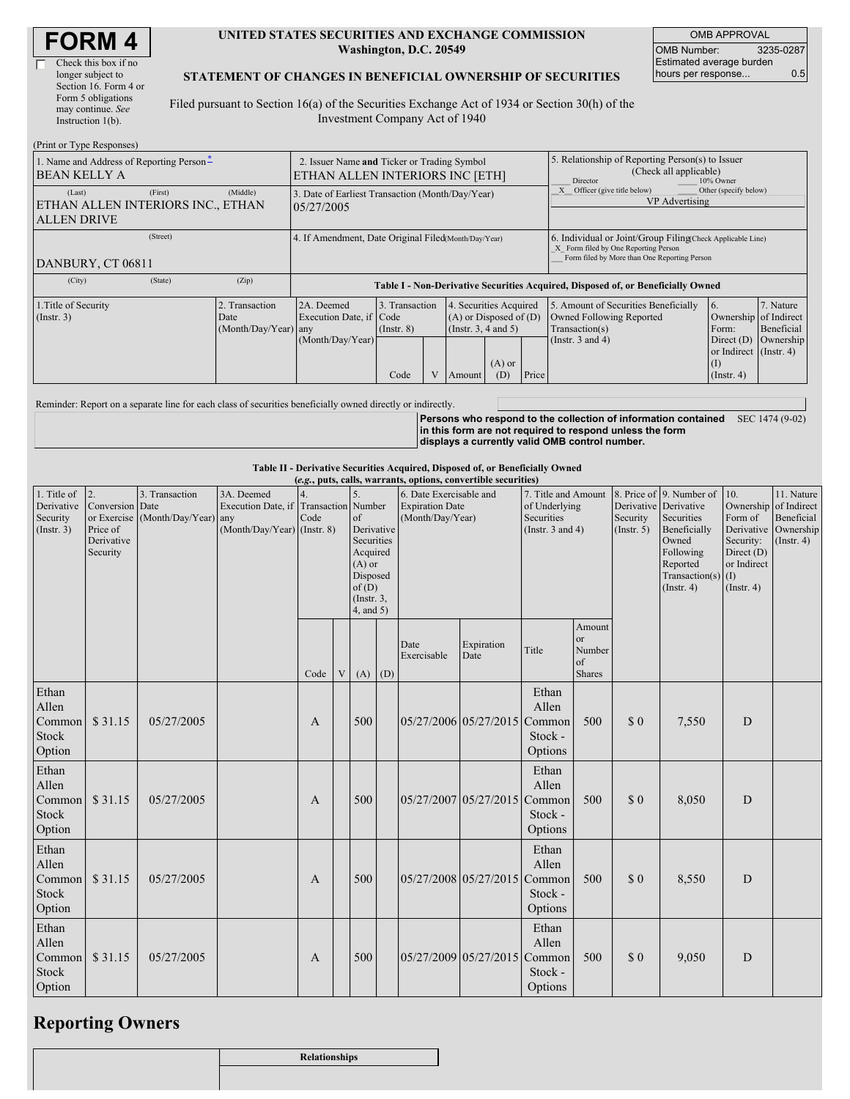| <b>FORM4</b> |
|--------------|
|--------------|

| Check this box if no  |
|-----------------------|
| longer subject to     |
| Section 16. Form 4 or |
| Form 5 obligations    |
| may continue. See     |
| Instruction $1(b)$ .  |
|                       |

 $(D_{\text{wint on}}$  Type  $D$ 

#### **UNITED STATES SECURITIES AND EXCHANGE COMMISSION Washington, D.C. 20549**

OMB APPROVAL OMB Number: 3235-0287 Estimated average burden hours per response... 0.5

### **STATEMENT OF CHANGES IN BENEFICIAL OWNERSHIP OF SECURITIES**

Filed pursuant to Section 16(a) of the Securities Exchange Act of 1934 or Section 30(h) of the Investment Company Act of 1940

| (FILIII OL TYPE INESPOIISES)                                                             |                                                                                |                                                                                  |  |                                                                              |                 |                                                                                                     |                                                                                                                                                    |                                                                |                         |  |
|------------------------------------------------------------------------------------------|--------------------------------------------------------------------------------|----------------------------------------------------------------------------------|--|------------------------------------------------------------------------------|-----------------|-----------------------------------------------------------------------------------------------------|----------------------------------------------------------------------------------------------------------------------------------------------------|----------------------------------------------------------------|-------------------------|--|
| 1. Name and Address of Reporting Person-<br><b>BEAN KELLY A</b>                          | 2. Issuer Name and Ticker or Trading Symbol<br>ETHAN ALLEN INTERIORS INC [ETH] |                                                                                  |  |                                                                              |                 | 5. Relationship of Reporting Person(s) to Issuer<br>(Check all applicable)<br>Director<br>10% Owner |                                                                                                                                                    |                                                                |                         |  |
| (Middle)<br>(First)<br>(Last)<br>ETHAN ALLEN INTERIORS INC., ETHAN<br><b>ALLEN DRIVE</b> | 05/27/2005                                                                     | 3. Date of Earliest Transaction (Month/Day/Year)                                 |  |                                                                              |                 | Other (specify below)<br>Officer (give title below)<br>VP Advertising                               |                                                                                                                                                    |                                                                |                         |  |
| (Street)<br>DANBURY, CT 06811                                                            |                                                                                | 4. If Amendment, Date Original Filed (Month/Day/Year)                            |  |                                                                              |                 |                                                                                                     | 6. Individual or Joint/Group Filing Check Applicable Line)<br>X Form filed by One Reporting Person<br>Form filed by More than One Reporting Person |                                                                |                         |  |
| (State)<br>(Zip)<br>(City)                                                               |                                                                                | Table I - Non-Derivative Securities Acquired, Disposed of, or Beneficially Owned |  |                                                                              |                 |                                                                                                     |                                                                                                                                                    |                                                                |                         |  |
| 1. Title of Security<br>2. Transaction<br>$($ Instr. 3 $)$<br>Date                       | 2A. Deemed<br>Execution Date, if Code<br>(Month/Day/Year) any                  | 3. Transaction<br>$($ Instr. $8)$                                                |  | 4. Securities Acquired<br>$(A)$ or Disposed of $(D)$<br>(Insert. 3, 4 and 5) |                 |                                                                                                     | 5. Amount of Securities Beneficially<br>Owned Following Reported<br>Transaction(s)                                                                 | 16.<br>Ownership of Indirect<br>Form:                          | 7. Nature<br>Beneficial |  |
|                                                                                          | (Month/Day/Year)                                                               | Code                                                                             |  | Amount                                                                       | $(A)$ or<br>(D) | Price                                                                                               | (Instr. $3$ and $4$ )                                                                                                                              | Direct $(D)$<br>or Indirect (Instr. 4)<br>(I)<br>$($ Instr. 4) | Ownership               |  |

Reminder: Report on a separate line for each class of securities beneficially owned directly or indirectly.

**Persons who respond to the collection of information contained in this form are not required to respond unless the form displays a currently valid OMB control number.** SEC 1474 (9-02)

#### **Table II - Derivative Securities Acquired, Disposed of, or Beneficially Owned**

| (e.g., puts, calls, warrants, options, convertible securities) |                                                             |                                                    |                                                                 |              |   |                                                                                                                                          |     |                                                                       |                       |                                                                             |                                                      |                         |                                                                                                                                                         |                                                                                             |                                                                                |
|----------------------------------------------------------------|-------------------------------------------------------------|----------------------------------------------------|-----------------------------------------------------------------|--------------|---|------------------------------------------------------------------------------------------------------------------------------------------|-----|-----------------------------------------------------------------------|-----------------------|-----------------------------------------------------------------------------|------------------------------------------------------|-------------------------|---------------------------------------------------------------------------------------------------------------------------------------------------------|---------------------------------------------------------------------------------------------|--------------------------------------------------------------------------------|
| 1. Title of<br>Derivative<br>Security<br>(Insert. 3)           | 2.<br>Conversion Date<br>Price of<br>Derivative<br>Security | 3. Transaction<br>or Exercise (Month/Day/Year) any | 3A. Deemed<br>Execution Date, if<br>(Month/Day/Year) (Instr. 8) | Code         |   | Transaction Number<br>of<br>Derivative<br>Securities<br>Acquired<br>$(A)$ or<br>Disposed<br>of(D)<br>$($ Instr. $3$ ,<br>$4$ , and $5$ ) |     | 6. Date Exercisable and<br><b>Expiration Date</b><br>(Month/Day/Year) |                       | 7. Title and Amount<br>of Underlying<br>Securities<br>(Instr. $3$ and $4$ ) |                                                      | Security<br>(Insert. 5) | 8. Price of 9. Number of<br>Derivative Derivative<br>Securities<br>Beneficially<br>Owned<br>Following<br>Reported<br>Transaction(s)<br>$($ Instr. 4 $)$ | 10.<br>Ownership<br>Form of<br>Security:<br>Direct (D)<br>or Indirect<br>(I)<br>(Insert. 4) | 11. Nature<br>of Indirect<br>Beneficial<br>Derivative Ownership<br>(Insert. 4) |
|                                                                |                                                             |                                                    |                                                                 | Code         | V | (A)                                                                                                                                      | (D) | Date<br>Exercisable                                                   | Expiration<br>Date    | Title                                                                       | Amount<br><b>or</b><br>Number<br>of<br><b>Shares</b> |                         |                                                                                                                                                         |                                                                                             |                                                                                |
| Ethan<br>Allen<br>Common<br>Stock<br>Option                    | \$31.15                                                     | 05/27/2005                                         |                                                                 | A            |   | 500                                                                                                                                      |     | 05/27/2006 05/27/2015                                                 |                       | Ethan<br>Allen<br>Common<br>Stock -<br>Options                              | 500                                                  | $\Omega$                | 7,550                                                                                                                                                   | D                                                                                           |                                                                                |
| Ethan<br>Allen<br>Common<br><b>Stock</b><br>Option             | \$31.15                                                     | 05/27/2005                                         |                                                                 | A            |   | 500                                                                                                                                      |     |                                                                       | 05/27/2007 05/27/2015 | Ethan<br>Allen<br>Common<br>Stock -<br>Options                              | 500                                                  | $\Omega$                | 8,050                                                                                                                                                   | D                                                                                           |                                                                                |
| Ethan<br>Allen<br>Common<br>Stock<br>Option                    | \$31.15                                                     | 05/27/2005                                         |                                                                 | A            |   | 500                                                                                                                                      |     | 05/27/2008 05/27/2015                                                 |                       | Ethan<br>Allen<br>Common<br>Stock -<br>Options                              | 500                                                  | $\Omega$                | 8,550                                                                                                                                                   | D                                                                                           |                                                                                |
| Ethan<br>Allen<br>Common<br>Stock<br>Option                    | \$31.15                                                     | 05/27/2005                                         |                                                                 | $\mathbf{A}$ |   | 500                                                                                                                                      |     |                                                                       | 05/27/2009 05/27/2015 | Ethan<br>Allen<br>Common<br>Stock -<br>Options                              | 500                                                  | $\Omega$                | 9,050                                                                                                                                                   | D                                                                                           |                                                                                |

### **Reporting Owners**

| Relationships |
|---------------|
|               |
|               |